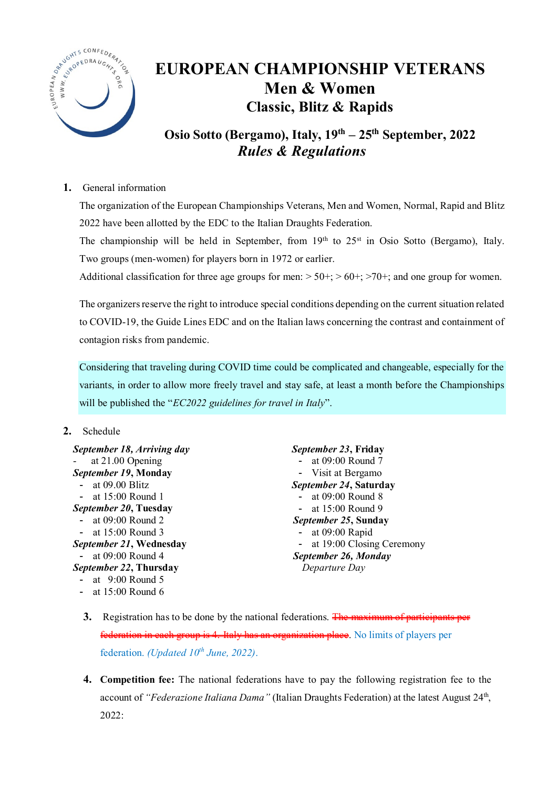

# **EUROPEAN CHAMPIONSHIP VETERANS Men & Women Classic, Blitz & Rapids**

**Osio Sotto (Bergamo), Italy, 19th – 25th September, 2022** *Rules & Regulations*

**1.** General information

The organization of the European Championships Veterans, Men and Women, Normal, Rapid and Blitz 2022 have been allotted by the EDC to the Italian Draughts Federation.

The championship will be held in September, from  $19<sup>th</sup>$  to  $25<sup>st</sup>$  in Osio Sotto (Bergamo), Italy. Two groups (men-women) for players born in 1972 or earlier.

Additional classification for three age groups for men:  $> 50+$ ;  $> 60+$ ;  $> 70+$ ; and one group for women.

The organizers reserve the right to introduce special conditions depending on the current situation related to COVID-19, the Guide Lines EDC and on the Italian laws concerning the contrast and containment of contagion risks from pandemic.

Considering that traveling during COVID time could be complicated and changeable, especially for the variants, in order to allow more freely travel and stay safe, at least a month before the Championships will be published the "*EC2022 guidelines for travel in Italy*".

# **2.** Schedule

| September 18, Arriving day                   | September 23, Friday        |
|----------------------------------------------|-----------------------------|
| at 21.00 Opening<br>$\overline{\phantom{0}}$ | at 09:00 Round 7            |
| September 19, Monday                         | - Visit at Bergamo          |
| - at $09.00$ Blitz                           | September 24, Saturday      |
| - at $15:00$ Round 1                         | - at $09:00$ Round 8        |
| September 20, Tuesday                        | - at $15:00$ Round 9        |
| - at $09:00$ Round 2                         | <i>September 25, Sunday</i> |
| - at $15:00$ Round 3                         | - at $09:00$ Rapid          |
| September 21, Wednesday                      | at 19:00 Closing Ceremony   |
| - at $09:00$ Round 4                         | September 26, Monday        |
| September 22, Thursday                       | Departure Day               |
| - at $9:00$ Round 5                          |                             |
| - at $15:00$ Round 6                         |                             |

- **3.** Registration has to be done by the national federations. The maximum of participants per federation in each group is 4. Italy has an organization place. No limits of players per federation. *(Updated 10th June, 2022)*.
- **4. Competition fee:** The national federations have to pay the following registration fee to the account of "Federazione Italiana Dama" (Italian Draughts Federation) at the latest August 24<sup>th</sup>, 2022: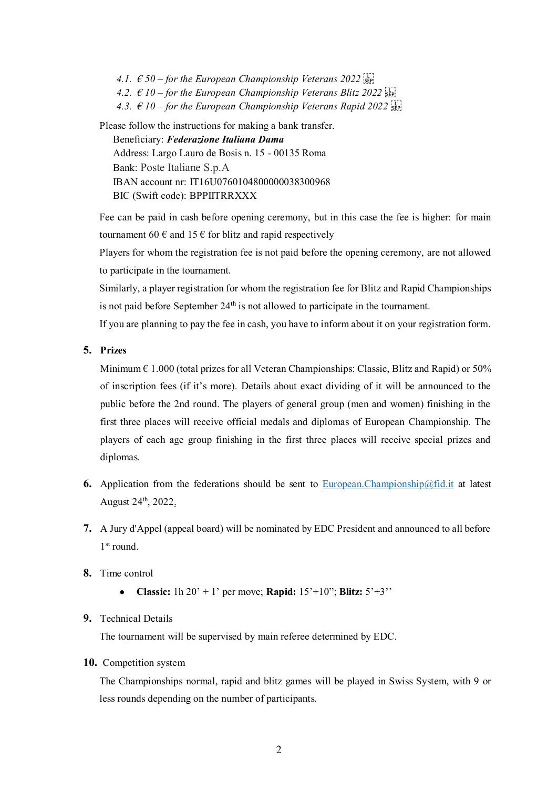*4.1.*  $\epsilon$  50 – for the European Championship Veterans 2022 **Signal** *4.2.*  $\epsilon$  10 – for the European Championship Veterans Blitz 2022 **Simple** *4.3.*  $\epsilon$  10 – for the European Championship Veterans Rapid 2022 *SEP* Please follow the instructions for making a bank transfer.

Beneficiary: *Federazione Italiana Dama* Address: Largo Lauro de Bosis n. 15 - 00135 Roma Bank: Poste Italiane S.p.A IBAN account nr: IT16U0760104800000038300968 BIC (Swift code): BPPIITRRXXX

Fee can be paid in cash before opening ceremony, but in this case the fee is higher: for main tournament 60  $\epsilon$  and 15  $\epsilon$  for blitz and rapid respectively

Players for whom the registration fee is not paid before the opening ceremony, are not allowed to participate in the tournament.

Similarly, a player registration for whom the registration fee for Blitz and Rapid Championships is not paid before September 24<sup>th</sup> is not allowed to participate in the tournament.

If you are planning to pay the fee in cash, you have to inform about it on your registration form.

## **5. Prizes**

Minimum  $\epsilon$  1.000 (total prizes for all Veteran Championships: Classic, Blitz and Rapid) or 50% of inscription fees (if it's more). Details about exact dividing of it will be announced to the public before the 2nd round. The players of general group (men and women) finishing in the first three places will receive official medals and diplomas of European Championship. The players of each age group finishing in the first three places will receive special prizes and diplomas.

- **6.** Application from the federations should be sent to [European.Championship@fid.it](mailto:European.Championship@fid.it) at latest August 24<sup>th</sup>, 2022.
- **7.** A Jury d'Appel (appeal board) will be nominated by EDC President and announced to all before 1<sup>st</sup> round.
- **8.** Time control
	- **Classic:** 1h 20' + 1' per move; **Rapid:** 15'+10"; **Blitz:** 5'+3''

#### **9.** Technical Details

The tournament will be supervised by main referee determined by EDC.

**10.** Competition system

The Championships normal, rapid and blitz games will be played in Swiss System, with 9 or less rounds depending on the number of participants.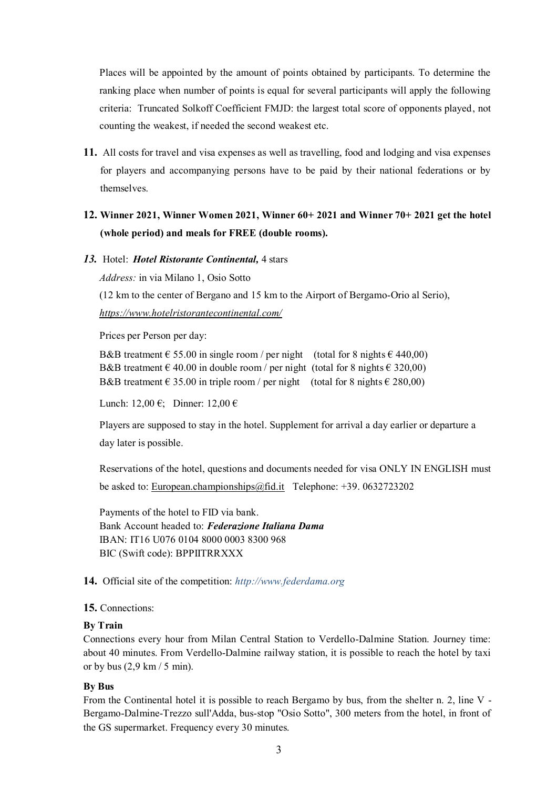Places will be appointed by the amount of points obtained by participants. To determine the ranking place when number of points is equal for several participants will apply the following criteria: Truncated Solkoff Coefficient FMJD: the largest total score of opponents played, not counting the weakest, if needed the second weakest etc.

**11.** All costs for travel and visa expenses as well as travelling, food and lodging and visa expenses for players and accompanying persons have to be paid by their national federations or by themselves.

# **12. Winner 2021, Winner Women 2021, Winner 60+ 2021 and Winner 70+ 2021 get the hotel (whole period) and meals for FREE (double rooms).**

*13.* Hotel: *Hotel Ristorante Continental,* 4 stars

*Address:* in via Milano 1, Osio Sotto

(12 km to the center of Bergano and 15 km to the Airport of Bergamo-Orio al Serio), *<https://www.hotelristorantecontinental.com/>*

Prices per Person per day:

B&B treatment  $\epsilon$  55.00 in single room / per night (total for 8 nights  $\epsilon$  440,00) B&B treatment  $\epsilon$  40.00 in double room / per night (total for 8 nights  $\epsilon$  320,00) B&B treatment  $\epsilon$  35.00 in triple room / per night (total for 8 nights  $\epsilon$  280,00)

Lunch: 12,00 €; Dinner: 12,00 €

Players are supposed to stay in the hotel. Supplement for arrival a day earlier or departure a day later is possible.

Reservations of the hotel, questions and documents needed for visa ONLY IN ENGLISH must be asked to: [European.championships@fid.it](mailto:European.championships@fid.it) Telephone: +39. 0632723202

Payments of the hotel to FID via bank. Bank Account headed to: *Federazione Italiana Dama* IBAN: IT16 U076 0104 8000 0003 8300 968 BIC (Swift code): BPPIITRRXXX

#### **14.** Official site of the competition: *http://www.federdama.org*

#### **15.** Connections:

#### **By Train**

Connections every hour from Milan Central Station to Verdello-Dalmine Station. Journey time: about 40 minutes. From Verdello-Dalmine railway station, it is possible to reach the hotel by taxi or by bus  $(2,9 \text{ km} / 5 \text{ min})$ .

#### **By Bus**

From the Continental hotel it is possible to reach Bergamo by bus, from the shelter n. 2, line V - Bergamo-Dalmine-Trezzo sull'Adda, bus-stop "Osio Sotto", 300 meters from the hotel, in front of the GS supermarket. Frequency every 30 minutes.